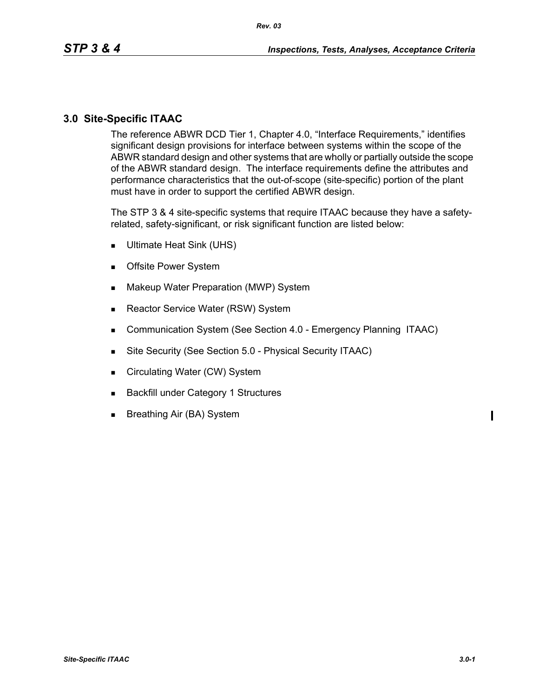### **3.0 Site-Specific ITAAC**

The reference ABWR DCD Tier 1, Chapter 4.0, "Interface Requirements," identifies significant design provisions for interface between systems within the scope of the ABWR standard design and other systems that are wholly or partially outside the scope of the ABWR standard design. The interface requirements define the attributes and performance characteristics that the out-of-scope (site-specific) portion of the plant must have in order to support the certified ABWR design.

The STP 3 & 4 site-specific systems that require ITAAC because they have a safetyrelated, safety-significant, or risk significant function are listed below:

- Ultimate Heat Sink (UHS)
- **Decimal System**
- **Makeup Water Preparation (MWP) System**
- Reactor Service Water (RSW) System
- **Communication System (See Section 4.0 Emergency Planning ITAAC)**
- Site Security (See Section 5.0 Physical Security ITAAC)
- Circulating Water (CW) System
- Backfill under Category 1 Structures
- **Breathing Air (BA) System**

 $\blacksquare$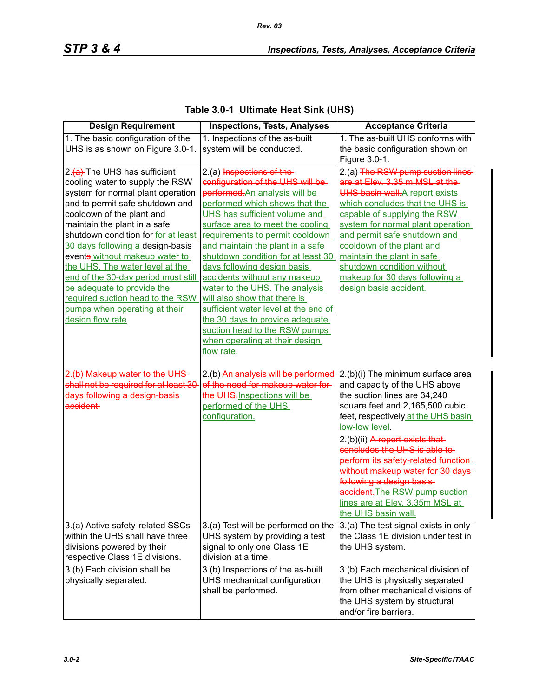|  | Table 3.0-1 Ultimate Heat Sink (UHS) |  |
|--|--------------------------------------|--|
|--|--------------------------------------|--|

*Rev. 03*

| <b>Design Requirement</b>              | <b>Inspections, Tests, Analyses</b>  | <b>Acceptance Criteria</b>           |
|----------------------------------------|--------------------------------------|--------------------------------------|
| 1. The basic configuration of the      | 1. Inspections of the as-built       | 1. The as-built UHS conforms with    |
| UHS is as shown on Figure 3.0-1.       | system will be conducted.            | the basic configuration shown on     |
|                                        |                                      | Figure 3.0-1.                        |
| 2.(a) The UHS has sufficient           | 2.(a) Inspections of the-            | 2.(a) The RSW pump suction lines     |
| cooling water to supply the RSW        | configuration of the UHS will be-    | are at Elev. 3.35 m MSL at the       |
| system for normal plant operation      | performed. An analysis will be       | UHS basin wall-A report exists       |
| and to permit safe shutdown and        | performed which shows that the       | which concludes that the UHS is      |
| cooldown of the plant and              | UHS has sufficient volume and        | capable of supplying the RSW         |
| maintain the plant in a safe           | surface area to meet the cooling     | system for normal plant operation    |
| shutdown condition for for at least    | requirements to permit cooldown      | and permit safe shutdown and         |
| 30 days following a design-basis       | and maintain the plant in a safe     | cooldown of the plant and            |
| events without makeup water to         | shutdown condition for at least 30   | maintain the plant in safe           |
| the UHS. The water level at the        | days following design basis          | shutdown condition without           |
| end of the 30-day period must still    | accidents without any makeup         | makeup for 30 days following a       |
| be adequate to provide the             | water to the UHS. The analysis       | design basis accident.               |
| required suction head to the RSW       | will also show that there is         |                                      |
| pumps when operating at their          | sufficient water level at the end of |                                      |
| design flow rate.                      | the 30 days to provide adequate      |                                      |
|                                        | suction head to the RSW pumps        |                                      |
|                                        | when operating at their design       |                                      |
|                                        | flow rate.                           |                                      |
| 2.(b) Makeup water to the UHS-         | 2.(b) An analysis will be performed  | 2.(b)(i) The minimum surface area    |
| shall not be required for at least 30- | of the need for makeup water for-    | and capacity of the UHS above        |
| days following a design basis-         | the UHS-Inspections will be          | the suction lines are 34,240         |
| accident.                              | performed of the UHS                 | square feet and 2,165,500 cubic      |
|                                        | configuration.                       | feet, respectively at the UHS basin  |
|                                        |                                      | low-low level.                       |
|                                        |                                      | 2.(b)(ii) A report exists that       |
|                                        |                                      | concludes the UHS is able to         |
|                                        |                                      | perform its safety-related function- |
|                                        |                                      | without makeup water for 30 days     |
|                                        |                                      | following a design basis             |
|                                        |                                      | accident. The RSW pump suction       |
|                                        |                                      | lines are at Elev. 3.35m MSL at      |
|                                        |                                      | the UHS basin wall.                  |
| 3.(a) Active safety-related SSCs       | 3.(a) Test will be performed on the  | 3.(a) The test signal exists in only |
| within the UHS shall have three        | UHS system by providing a test       | the Class 1E division under test in  |
| divisions powered by their             | signal to only one Class 1E          | the UHS system.                      |
| respective Class 1E divisions.         | division at a time.                  |                                      |
| 3.(b) Each division shall be           | 3.(b) Inspections of the as-built    | 3.(b) Each mechanical division of    |
| physically separated.                  | UHS mechanical configuration         | the UHS is physically separated      |
|                                        | shall be performed.                  | from other mechanical divisions of   |
|                                        |                                      | the UHS system by structural         |
|                                        |                                      | and/or fire barriers.                |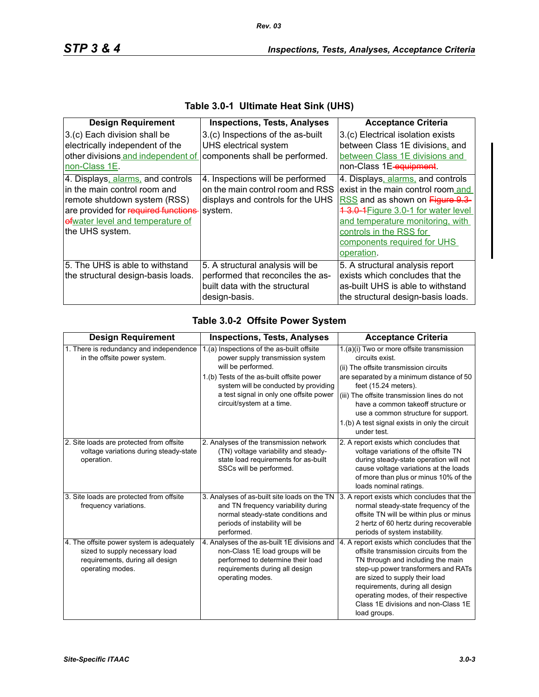| <b>Design Requirement</b>                                                                                                                                                                       | <b>Inspections, Tests, Analyses</b>                                                                                      | <b>Acceptance Criteria</b>                                                                                                                                                                                                                                    |
|-------------------------------------------------------------------------------------------------------------------------------------------------------------------------------------------------|--------------------------------------------------------------------------------------------------------------------------|---------------------------------------------------------------------------------------------------------------------------------------------------------------------------------------------------------------------------------------------------------------|
| 3.(c) Each division shall be<br>electrically independent of the<br>other divisions and independent of<br>non-Class 1E.                                                                          | 3.(c) Inspections of the as-built<br>UHS electrical system<br>components shall be performed.                             | 3.(c) Electrical isolation exists<br>between Class 1E divisions, and<br>between Class 1E divisions and<br>non-Class 1E-equipment.                                                                                                                             |
| 4. Displays, alarms, and controls<br>in the main control room and<br>remote shutdown system (RSS)<br>are provided for required functions<br>efwater level and temperature of<br>the UHS system. | 4. Inspections will be performed<br>on the main control room and RSS<br>displays and controls for the UHS<br>system.     | 4. Displays, alarms, and controls<br>exist in the main control room and<br>RSS and as shown on Figure 9.3<br>1 3.0 1 Figure 3.0-1 for water level<br>and temperature monitoring, with<br>controls in the RSS for<br>components required for UHS<br>operation. |
| 5. The UHS is able to withstand<br>the structural design-basis loads.                                                                                                                           | 5. A structural analysis will be<br>performed that reconciles the as-<br>built data with the structural<br>design-basis. | 5. A structural analysis report<br>exists which concludes that the<br>as-built UHS is able to withstand<br>the structural design-basis loads.                                                                                                                 |

#### **Table 3.0-1 Ultimate Heat Sink (UHS)**

# **Table 3.0-2 Offsite Power System**

| <b>Design Requirement</b>                                                                                                          | <b>Inspections, Tests, Analyses</b>                                                                                                                                                                                                                               | <b>Acceptance Criteria</b>                                                                                                                                                                                                                                                                                                                                               |
|------------------------------------------------------------------------------------------------------------------------------------|-------------------------------------------------------------------------------------------------------------------------------------------------------------------------------------------------------------------------------------------------------------------|--------------------------------------------------------------------------------------------------------------------------------------------------------------------------------------------------------------------------------------------------------------------------------------------------------------------------------------------------------------------------|
| 1. There is redundancy and independence<br>in the offsite power system.                                                            | 1.(a) Inspections of the as-built offsite<br>power supply transmission system<br>will be performed.<br>1.(b) Tests of the as-built offsite power<br>system will be conducted by providing<br>a test signal in only one offsite power<br>circuit/system at a time. | 1.(a)(i) Two or more offsite transmission<br>circuits exist.<br>(ii) The offsite transmission circuits<br>are separated by a minimum distance of 50<br>feet (15.24 meters).<br>(iii) The offsite transmission lines do not<br>have a common takeoff structure or<br>use a common structure for support.<br>1.(b) A test signal exists in only the circuit<br>under test. |
| 2. Site loads are protected from offsite<br>voltage variations during steady-state<br>operation.                                   | 2. Analyses of the transmission network<br>(TN) voltage variability and steady-<br>state load requirements for as-built<br>SSCs will be performed.                                                                                                                | 2. A report exists which concludes that<br>voltage variations of the offsite TN<br>during steady-state operation will not<br>cause voltage variations at the loads<br>of more than plus or minus 10% of the<br>loads nominal ratings.                                                                                                                                    |
| 3. Site loads are protected from offsite<br>frequency variations.                                                                  | 3. Analyses of as-built site loads on the TN<br>and TN frequency variability during<br>normal steady-state conditions and<br>periods of instability will be<br>performed.                                                                                         | 3. A report exists which concludes that the<br>normal steady-state frequency of the<br>offsite TN will be within plus or minus<br>2 hertz of 60 hertz during recoverable<br>periods of system instability.                                                                                                                                                               |
| 4. The offsite power system is adequately<br>sized to supply necessary load<br>requirements, during all design<br>operating modes. | 4. Analyses of the as-built 1E divisions and<br>non-Class 1E load groups will be<br>performed to determine their load<br>requirements during all design<br>operating modes.                                                                                       | 4. A report exists which concludes that the<br>offsite transmission circuits from the<br>TN through and including the main<br>step-up power transformers and RATs<br>are sized to supply their load<br>requirements, during all design<br>operating modes, of their respective<br>Class 1E divisions and non-Class 1E<br>load groups.                                    |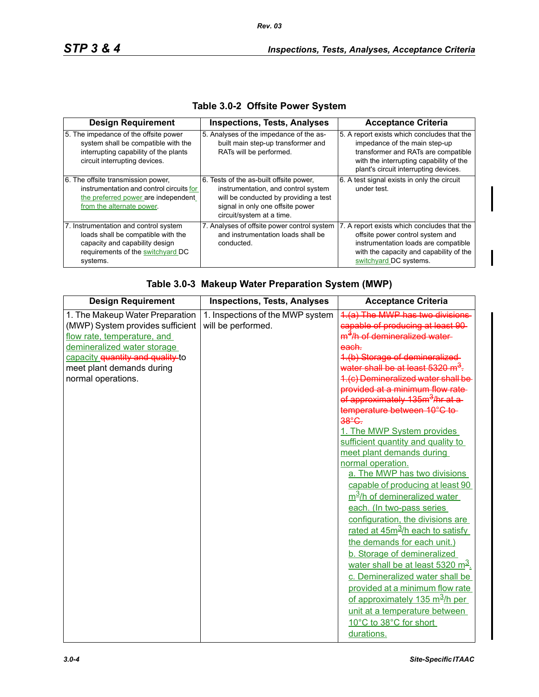| <b>Design Requirement</b>                                                                                                                                      | <b>Inspections, Tests, Analyses</b>                                                                                                                                                      | <b>Acceptance Criteria</b>                                                                                                                                                                              |
|----------------------------------------------------------------------------------------------------------------------------------------------------------------|------------------------------------------------------------------------------------------------------------------------------------------------------------------------------------------|---------------------------------------------------------------------------------------------------------------------------------------------------------------------------------------------------------|
| 5. The impedance of the offsite power<br>system shall be compatible with the<br>interrupting capability of the plants<br>circuit interrupting devices.         | 5. Analyses of the impedance of the as-<br>built main step-up transformer and<br>RATs will be performed.                                                                                 | 5. A report exists which concludes that the<br>impedance of the main step-up<br>transformer and RATs are compatible<br>with the interrupting capability of the<br>plant's circuit interrupting devices. |
| 6. The offsite transmission power,<br>instrumentation and control circuits for<br>the preferred power are independent<br>from the alternate power.             | 6. Tests of the as-built offsite power,<br>instrumentation, and control system<br>will be conducted by providing a test<br>signal in only one offsite power<br>circuit/system at a time. | 6. A test signal exists in only the circuit<br>under test.                                                                                                                                              |
| 7. Instrumentation and control system<br>loads shall be compatible with the<br>capacity and capability design<br>requirements of the switchyard DC<br>systems. | 7. Analyses of offsite power control system<br>and instrumentation loads shall be<br>conducted.                                                                                          | 7. A report exists which concludes that the<br>offsite power control system and<br>instrumentation loads are compatible<br>with the capacity and capability of the<br>switchyard DC systems.            |

# **Table 3.0-2 Offsite Power System**

| Table 3.0-3 Makeup Water Preparation System (MWP) |  |  |  |
|---------------------------------------------------|--|--|--|
|                                                   |  |  |  |

| <b>Design Requirement</b>        | <b>Inspections, Tests, Analyses</b> | <b>Acceptance Criteria</b>                    |
|----------------------------------|-------------------------------------|-----------------------------------------------|
| 1. The Makeup Water Preparation  | 1. Inspections of the MWP system    | 1.(a) The MWP has two divisions               |
| (MWP) System provides sufficient | will be performed.                  | capable of producing at least 90-             |
| flow rate, temperature, and      |                                     | m <sup>3</sup> /h of demineralized water-     |
| demineralized water storage      |                                     | each.                                         |
| capacity quantity and quality to |                                     | 1.(b) Storage of demineralized                |
| meet plant demands during        |                                     | water shall be at least 5320 m <sup>3</sup> . |
| normal operations.               |                                     | 1.(c) Demineralized water shall be            |
|                                  |                                     | provided at a minimum flow rate-              |
|                                  |                                     | of approximately 135m <sup>3</sup> /hr at a   |
|                                  |                                     | temperature between 10°C to-                  |
|                                  |                                     | 38°C.                                         |
|                                  |                                     | 1. The MWP System provides                    |
|                                  |                                     | sufficient quantity and quality to            |
|                                  |                                     | meet plant demands during                     |
|                                  |                                     | normal operation.                             |
|                                  |                                     | a. The MWP has two divisions                  |
|                                  |                                     | capable of producing at least 90              |
|                                  |                                     | m <sup>3</sup> /h of demineralized water      |
|                                  |                                     | each. (In two-pass series                     |
|                                  |                                     | configuration, the divisions are              |
|                                  |                                     | rated at $45m^3/h$ each to satisfy            |
|                                  |                                     | the demands for each unit.)                   |
|                                  |                                     | b. Storage of demineralized                   |
|                                  |                                     | water shall be at least $5320 \text{ m}^3$ .  |
|                                  |                                     | c. Demineralized water shall be               |
|                                  |                                     | provided at a minimum flow rate               |
|                                  |                                     | of approximately 135 m <sup>3</sup> /h per    |
|                                  |                                     | unit at a temperature between                 |
|                                  |                                     | 10°C to 38°C for short                        |
|                                  |                                     | durations.                                    |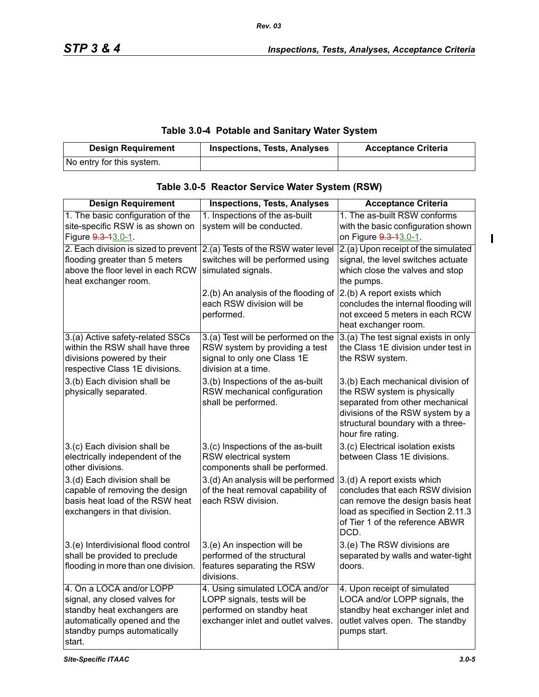### **Table 3.0-4 Potable and Sanitary Water System**

*Rev. 03*

| <b>Design Requirement</b> | <b>Inspections, Tests, Analyses</b> | <b>Acceptance Criteria</b> |
|---------------------------|-------------------------------------|----------------------------|
| No entry for this system. |                                     |                            |

| <b>Design Requirement</b>                                                                                                                                         | <b>Inspections, Tests, Analyses</b>                                                                                              | <b>Acceptance Criteria</b>                                                                                                                                                                         |
|-------------------------------------------------------------------------------------------------------------------------------------------------------------------|----------------------------------------------------------------------------------------------------------------------------------|----------------------------------------------------------------------------------------------------------------------------------------------------------------------------------------------------|
| 1. The basic configuration of the<br>site-specific RSW is as shown on<br>Figure 9.3-13.0-1.                                                                       | 1. Inspections of the as-built<br>system will be conducted.                                                                      | 1. The as-built RSW conforms<br>with the basic configuration shown<br>on Figure 9.3-13.0-1.                                                                                                        |
| 2. Each division is sized to prevent<br>flooding greater than 5 meters<br>above the floor level in each RCW<br>heat exchanger room.                               | 2.(a) Tests of the RSW water level<br>switches will be performed using<br>simulated signals.                                     | 2.(a) Upon receipt of the simulated<br>signal, the level switches actuate<br>which close the valves and stop<br>the pumps.                                                                         |
|                                                                                                                                                                   | 2.(b) An analysis of the flooding of<br>each RSW division will be<br>performed.                                                  | 2.(b) A report exists which<br>concludes the internal flooding will<br>not exceed 5 meters in each RCW<br>heat exchanger room.                                                                     |
| 3.(a) Active safety-related SSCs<br>within the RSW shall have three<br>divisions powered by their<br>respective Class 1E divisions.                               | 3.(a) Test will be performed on the<br>RSW system by providing a test<br>signal to only one Class 1E<br>division at a time.      | 3.(a) The test signal exists in only<br>the Class 1E division under test in<br>the RSW system.                                                                                                     |
| 3.(b) Each division shall be<br>physically separated.                                                                                                             | 3.(b) Inspections of the as-built<br>RSW mechanical configuration<br>shall be performed.                                         | 3.(b) Each mechanical division of<br>the RSW system is physically<br>separated from other mechanical<br>divisions of the RSW system by a<br>structural boundary with a three-<br>hour fire rating. |
| 3.(c) Each division shall be<br>electrically independent of the<br>other divisions.                                                                               | 3.(c) Inspections of the as-built<br>RSW electrical system<br>components shall be performed.                                     | 3.(c) Electrical isolation exists<br>between Class 1E divisions.                                                                                                                                   |
| 3.(d) Each division shall be<br>capable of removing the design<br>basis heat load of the RSW heat<br>exchangers in that division.                                 | 3.(d) An analysis will be performed<br>of the heat removal capability of<br>each RSW division.                                   | 3.(d) A report exists which<br>concludes that each RSW division<br>can remove the design basis heat<br>load as specified in Section 2.11.3<br>of Tier 1 of the reference ABWR<br>DCD.              |
| 3.(e) Interdivisional flood control<br>shall be provided to preclude<br>flooding in more than one division.                                                       | 3.(e) An inspection will be<br>performed of the structural<br>features separating the RSW<br>divisions.                          | 3.(e) The RSW divisions are<br>separated by walls and water-tight<br>doors.                                                                                                                        |
| 4. On a LOCA and/or LOPP<br>signal, any closed valves for<br>standby heat exchangers are<br>automatically opened and the<br>standby pumps automatically<br>start. | 4. Using simulated LOCA and/or<br>LOPP signals, tests will be<br>performed on standby heat<br>exchanger inlet and outlet valves. | 4. Upon receipt of simulated<br>LOCA and/or LOPP signals, the<br>standby heat exchanger inlet and<br>outlet valves open. The standby<br>pumps start.                                               |

# **Table 3.0-5 Reactor Service Water System (RSW)**

 $\mathbf{I}$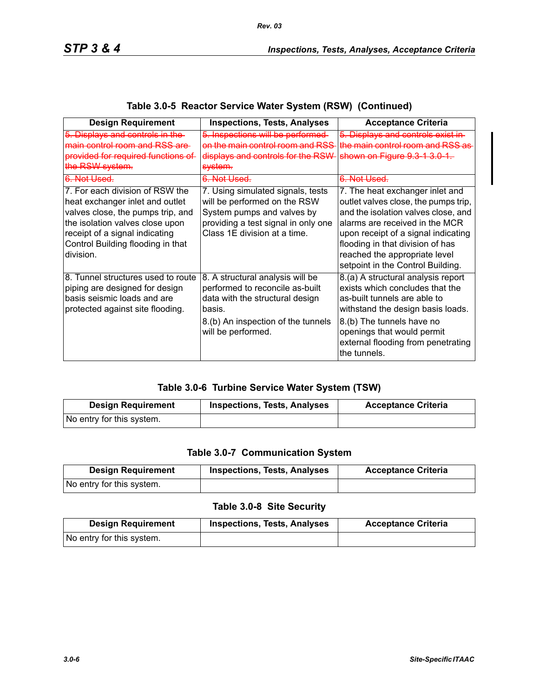| <b>Design Requirement</b>                                                                                                                                                                                                      | <b>Inspections, Tests, Analyses</b>                                                                                                                                          | <b>Acceptance Criteria</b>                                                                                                                                                                                                                                                                        |
|--------------------------------------------------------------------------------------------------------------------------------------------------------------------------------------------------------------------------------|------------------------------------------------------------------------------------------------------------------------------------------------------------------------------|---------------------------------------------------------------------------------------------------------------------------------------------------------------------------------------------------------------------------------------------------------------------------------------------------|
| 5. Displays and controls in the<br>main control room and RSS are-<br>provided for required functions of<br>the RSW system.                                                                                                     | 5. Inspections will be performed-<br><del>on the main control room and RSS</del><br>displays and controls for the RSW<br><del>system.</del>                                  | 5. Displays and controls exist in-<br>the main control room and RSS as<br>shown on Figure 9.3-1-3.0-1.                                                                                                                                                                                            |
| <del>6. Not Used.</del>                                                                                                                                                                                                        | <del>6. Not Used.</del>                                                                                                                                                      | <del>6. Not Used.</del>                                                                                                                                                                                                                                                                           |
| 7. For each division of RSW the<br>heat exchanger inlet and outlet<br>valves close, the pumps trip, and<br>the isolation valves close upon<br>receipt of a signal indicating<br>Control Building flooding in that<br>division. | 7. Using simulated signals, tests<br>will be performed on the RSW<br>System pumps and valves by<br>providing a test signal in only one<br>Class 1E division at a time.       | 7. The heat exchanger inlet and<br>outlet valves close, the pumps trip,<br>and the isolation valves close, and<br>alarms are received in the MCR<br>upon receipt of a signal indicating<br>flooding in that division of has<br>reached the appropriate level<br>setpoint in the Control Building. |
| 8. Tunnel structures used to route<br>piping are designed for design<br>basis seismic loads and are<br>protected against site flooding.                                                                                        | 8. A structural analysis will be<br>performed to reconcile as-built<br>data with the structural design<br>basis.<br>8.(b) An inspection of the tunnels<br>will be performed. | 8.(a) A structural analysis report<br>exists which concludes that the<br>as-built tunnels are able to<br>withstand the design basis loads.<br>8.(b) The tunnels have no<br>openings that would permit<br>external flooding from penetrating<br>the tunnels.                                       |

# **Table 3.0-5 Reactor Service Water System (RSW) (Continued)**

### **Table 3.0-6 Turbine Service Water System (TSW)**

| <b>Design Requirement</b> | <b>Inspections, Tests, Analyses</b> | <b>Acceptance Criteria</b> |
|---------------------------|-------------------------------------|----------------------------|
| No entry for this system. |                                     |                            |

### **Table 3.0-7 Communication System**

| <b>Design Requirement</b> | <b>Inspections, Tests, Analyses</b> | <b>Acceptance Criteria</b> |
|---------------------------|-------------------------------------|----------------------------|
| No entry for this system. |                                     |                            |

# **Table 3.0-8 Site Security**

| <b>Design Requirement</b> | <b>Inspections, Tests, Analyses</b> | <b>Acceptance Criteria</b> |
|---------------------------|-------------------------------------|----------------------------|
| No entry for this system. |                                     |                            |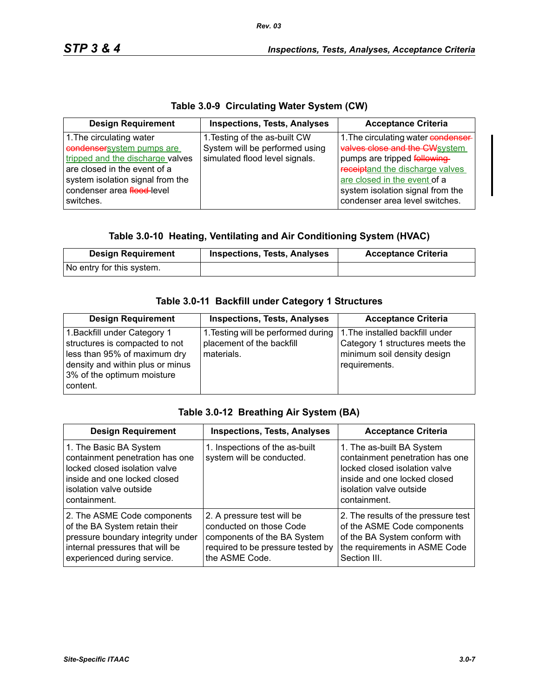# **Table 3.0-9 Circulating Water System (CW)**

| <b>Design Requirement</b>                                                                                                                                                                                | <b>Inspections, Tests, Analyses</b>                                                               | <b>Acceptance Criteria</b>                                                                                                                                                                                                                    |
|----------------------------------------------------------------------------------------------------------------------------------------------------------------------------------------------------------|---------------------------------------------------------------------------------------------------|-----------------------------------------------------------------------------------------------------------------------------------------------------------------------------------------------------------------------------------------------|
| 1. The circulating water<br>condensersystem pumps are<br>tripped and the discharge valves<br>are closed in the event of a<br>system isolation signal from the<br>condenser area flood-level<br>switches. | 1. Testing of the as-built CW<br>System will be performed using<br>simulated flood level signals. | 1. The circulating water condenser-<br>valves close and the CWsystem<br>pumps are tripped following-<br>receiptand the discharge valves<br>are closed in the event of a<br>system isolation signal from the<br>condenser area level switches. |

# **Table 3.0-10 Heating, Ventilating and Air Conditioning System (HVAC)**

| <b>Design Requirement</b> | <b>Inspections, Tests, Analyses</b> | <b>Acceptance Criteria</b> |
|---------------------------|-------------------------------------|----------------------------|
| No entry for this system. |                                     |                            |

# **Table 3.0-11 Backfill under Category 1 Structures**

| <b>Design Requirement</b>                                                                                                                                                    | <b>Inspections, Tests, Analyses</b>                                            | <b>Acceptance Criteria</b>                                                                                         |
|------------------------------------------------------------------------------------------------------------------------------------------------------------------------------|--------------------------------------------------------------------------------|--------------------------------------------------------------------------------------------------------------------|
| 1. Backfill under Category 1<br>structures is compacted to not<br>less than 95% of maximum dry<br>density and within plus or minus<br>3% of the optimum moisture<br>content. | 1. Testing will be performed during<br>placement of the backfill<br>materials. | 1. The installed backfill under<br>Category 1 structures meets the<br>minimum soil density design<br>requirements. |

#### **Table 3.0-12 Breathing Air System (BA)**

| <b>Design Requirement</b>                                                                                                                                             | <b>Inspections, Tests, Analyses</b>                                                                                                         | <b>Acceptance Criteria</b>                                                                                                                                               |
|-----------------------------------------------------------------------------------------------------------------------------------------------------------------------|---------------------------------------------------------------------------------------------------------------------------------------------|--------------------------------------------------------------------------------------------------------------------------------------------------------------------------|
| 1. The Basic BA System<br>containment penetration has one<br>locked closed isolation valve<br>inside and one locked closed<br>isolation valve outside<br>containment. | 1. Inspections of the as-built<br>system will be conducted.                                                                                 | 1. The as-built BA System<br>containment penetration has one<br>locked closed isolation valve<br>inside and one locked closed<br>isolation valve outside<br>containment. |
| 2. The ASME Code components<br>of the BA System retain their<br>pressure boundary integrity under<br>internal pressures that will be<br>experienced during service.   | 2. A pressure test will be<br>conducted on those Code<br>components of the BA System<br>required to be pressure tested by<br>the ASME Code. | 2. The results of the pressure test<br>of the ASME Code components<br>of the BA System conform with<br>the requirements in ASME Code<br>Section III.                     |